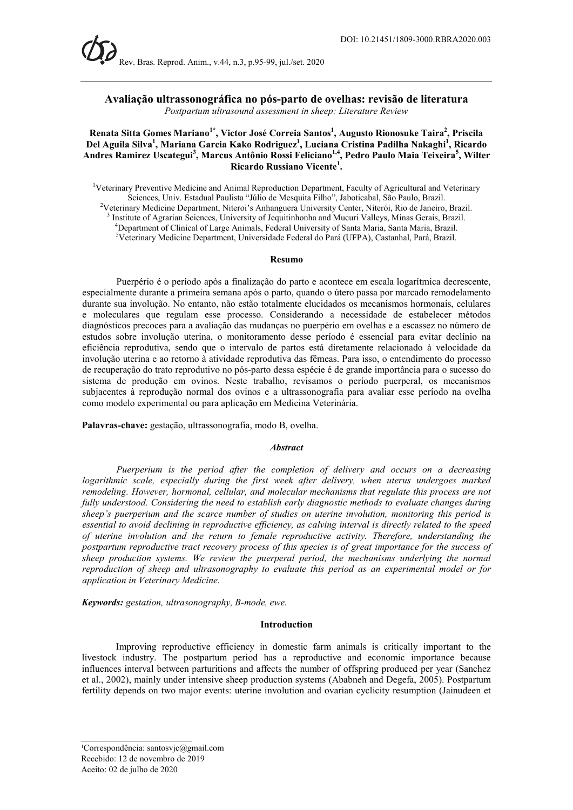# Avaliação ultrassonográfica no pós-parto de ovelhas: revisão de literatura Postpartum ultrasound assessment in sheep: Literature Review

# Renata Sitta Gomes Mariano<sup>1\*</sup>, Victor José Correia Santos<sup>1</sup>, Augusto Rionosuke Taira<sup>2</sup>, Priscila Del Aguila Silva<sup>1</sup>, Mariana Garcia Kako Rodriguez<sup>1</sup>, Luciana Cristina Padilha Nakaghi<sup>1</sup>, Ricardo Andres Ramirez Uscategui<sup>3</sup>, Marcus Antônio Rossi Feliciano<sup>1,4</sup>, Pedro Paulo Maia Teixeira<sup>5</sup>, Wilter Ricardo Russiano Vicente<sup>1</sup>.

<sup>1</sup>Veterinary Preventive Medicine and Animal Reproduction Department, Faculty of Agricultural and Veterinary Sciences, Univ. Estadual Paulista "Júlio de Mesquita Filho", Jaboticabal, São Paulo, Brazil. <sup>2</sup>Veterinary Medicine Department, Niteroi's Anhanguera University Center, Niterói, Rio de Janeiro, Brazil. <sup>3</sup> Institute of Agrarian Sciences, University of Jequitinhonha and Mucuri Valleys, Minas Gerais, Brazil. <sup>4</sup>Department of Clinical of Large Animals, Federal University of Santa Maria, Santa Maria, Brazil. <sup>5</sup>Veterinary Medicine Department, Universidade Federal do Pará (UFPA), Castanhal, Pará, Brazil.

## Resumo

Puerpério é o período após a finalização do parto e acontece em escala logarítmica decrescente, especialmente durante a primeira semana após o parto, quando o útero passa por marcado remodelamento durante sua involução. No entanto, não estão totalmente elucidados os mecanismos hormonais, celulares e moleculares que regulam esse processo. Considerando a necessidade de estabelecer métodos diagnósticos precoces para a avaliação das mudanças no puerpério em ovelhas e a escassez no número de estudos sobre involução uterina, o monitoramento desse período é essencial para evitar declínio na eficiência reprodutiva, sendo que o intervalo de partos está diretamente relacionado à velocidade da involução uterina e ao retorno à atividade reprodutiva das fêmeas. Para isso, o entendimento do processo de recuperação do trato reprodutivo no pós-parto dessa espécie é de grande importância para o sucesso do sistema de produção em ovinos. Neste trabalho, revisamos o período puerperal, os mecanismos subjacentes à reprodução normal dos ovinos e a ultrassonografia para avaliar esse período na ovelha como modelo experimental ou para aplicação em Medicina Veterinária.

Palavras-chave: gestação, ultrassonografia, modo B, ovelha.

## **Abstract**

Puerperium is the period after the completion of delivery and occurs on a decreasing logarithmic scale, especially during the first week after delivery, when uterus undergoes marked remodeling. However, hormonal, cellular, and molecular mechanisms that regulate this process are not fully understood. Considering the need to establish early diagnostic methods to evaluate changes during sheep's puerperium and the scarce number of studies on uterine involution, monitoring this period is essential to avoid declining in reproductive efficiency, as calving interval is directly related to the speed of uterine involution and the return to female reproductive activity. Therefore, understanding the postpartum reproductive tract recovery process of this species is of great importance for the success of sheep production systems. We review the puerperal period, the mechanisms underlying the normal reproduction of sheep and ultrasonography to evaluate this period as an experimental model or for application in Veterinary Medicine.

Keywords: gestation, ultrasonography, B-mode, ewe.

#### Introduction

Improving reproductive efficiency in domestic farm animals is critically important to the livestock industry. The postpartum period has a reproductive and economic importance because influences interval between parturitions and affects the number of offspring produced per year (Sanchez et al., 2002), mainly under intensive sheep production systems (Ababneh and Degefa, 2005). Postpartum fertility depends on two major events: uterine involution and ovarian cyclicity resumption (Jainudeen et

 $\mathcal{L}=\mathcal{L}=\mathcal{L}=\mathcal{L}=\mathcal{L}=\mathcal{L}=\mathcal{L}=\mathcal{L}=\mathcal{L}=\mathcal{L}=\mathcal{L}=\mathcal{L}=\mathcal{L}=\mathcal{L}=\mathcal{L}=\mathcal{L}=\mathcal{L}=\mathcal{L}=\mathcal{L}=\mathcal{L}=\mathcal{L}=\mathcal{L}=\mathcal{L}=\mathcal{L}=\mathcal{L}=\mathcal{L}=\mathcal{L}=\mathcal{L}=\mathcal{L}=\mathcal{L}=\mathcal{L}=\mathcal{L}=\mathcal{L}=\mathcal{L}=\mathcal{L}=\mathcal{L}=\mathcal{$ 

<sup>&</sup>lt;sup>1</sup>Correspondência: santosvjc $@g$ gmail.com Recebido: 12 de novembro de 2019 Aceito: 02 de julho de 2020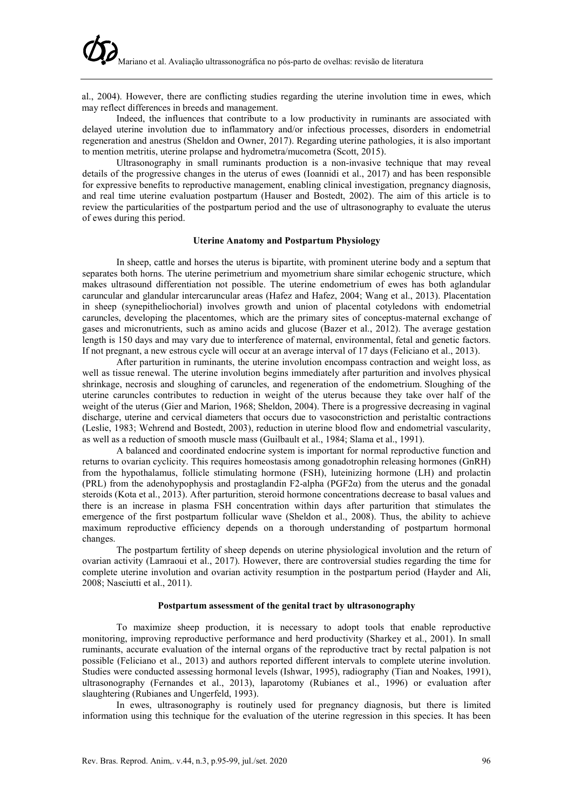al., 2004). However, there are conflicting studies regarding the uterine involution time in ewes, which may reflect differences in breeds and management.

Indeed, the influences that contribute to a low productivity in ruminants are associated with delayed uterine involution due to inflammatory and/or infectious processes, disorders in endometrial regeneration and anestrus (Sheldon and Owner, 2017). Regarding uterine pathologies, it is also important to mention metritis, uterine prolapse and hydrometra/mucometra (Scott, 2015).

Ultrasonography in small ruminants production is a non-invasive technique that may reveal details of the progressive changes in the uterus of ewes (Ioannidi et al., 2017) and has been responsible for expressive benefits to reproductive management, enabling clinical investigation, pregnancy diagnosis, and real time uterine evaluation postpartum (Hauser and Bostedt, 2002). The aim of this article is to review the particularities of the postpartum period and the use of ultrasonography to evaluate the uterus of ewes during this period.

# Uterine Anatomy and Postpartum Physiology

In sheep, cattle and horses the uterus is bipartite, with prominent uterine body and a septum that separates both horns. The uterine perimetrium and myometrium share similar echogenic structure, which makes ultrasound differentiation not possible. The uterine endometrium of ewes has both aglandular caruncular and glandular intercaruncular areas (Hafez and Hafez, 2004; Wang et al., 2013). Placentation in sheep (synepitheliochorial) involves growth and union of placental cotyledons with endometrial caruncles, developing the placentomes, which are the primary sites of conceptus-maternal exchange of gases and micronutrients, such as amino acids and glucose (Bazer et al., 2012). The average gestation length is 150 days and may vary due to interference of maternal, environmental, fetal and genetic factors. If not pregnant, a new estrous cycle will occur at an average interval of 17 days (Feliciano et al., 2013).

After parturition in ruminants, the uterine involution encompass contraction and weight loss, as well as tissue renewal. The uterine involution begins immediately after parturition and involves physical shrinkage, necrosis and sloughing of caruncles, and regeneration of the endometrium. Sloughing of the uterine caruncles contributes to reduction in weight of the uterus because they take over half of the weight of the uterus (Gier and Marion, 1968; Sheldon, 2004). There is a progressive decreasing in vaginal discharge, uterine and cervical diameters that occurs due to vasoconstriction and peristaltic contractions (Leslie, 1983; Wehrend and Bostedt, 2003), reduction in uterine blood flow and endometrial vascularity, as well as a reduction of smooth muscle mass (Guilbault et al., 1984; Slama et al., 1991).

A balanced and coordinated endocrine system is important for normal reproductive function and returns to ovarian cyclicity. This requires homeostasis among gonadotrophin releasing hormones (GnRH) from the hypothalamus, follicle stimulating hormone (FSH), luteinizing hormone (LH) and prolactin (PRL) from the adenohypophysis and prostaglandin F2-alpha ( $PGF2\alpha$ ) from the uterus and the gonadal steroids (Kota et al., 2013). After parturition, steroid hormone concentrations decrease to basal values and there is an increase in plasma FSH concentration within days after parturition that stimulates the emergence of the first postpartum follicular wave (Sheldon et al., 2008). Thus, the ability to achieve maximum reproductive efficiency depends on a thorough understanding of postpartum hormonal changes.

The postpartum fertility of sheep depends on uterine physiological involution and the return of ovarian activity (Lamraoui et al., 2017). However, there are controversial studies regarding the time for complete uterine involution and ovarian activity resumption in the postpartum period (Hayder and Ali, 2008; Nasciutti et al., 2011).

# Postpartum assessment of the genital tract by ultrasonography

To maximize sheep production, it is necessary to adopt tools that enable reproductive monitoring, improving reproductive performance and herd productivity (Sharkey et al., 2001). In small ruminants, accurate evaluation of the internal organs of the reproductive tract by rectal palpation is not possible (Feliciano et al., 2013) and authors reported different intervals to complete uterine involution. Studies were conducted assessing hormonal levels (Ishwar, 1995), radiography (Tian and Noakes, 1991), ultrasonography (Fernandes et al., 2013), laparotomy (Rubianes et al., 1996) or evaluation after slaughtering (Rubianes and Ungerfeld, 1993).

In ewes, ultrasonography is routinely used for pregnancy diagnosis, but there is limited information using this technique for the evaluation of the uterine regression in this species. It has been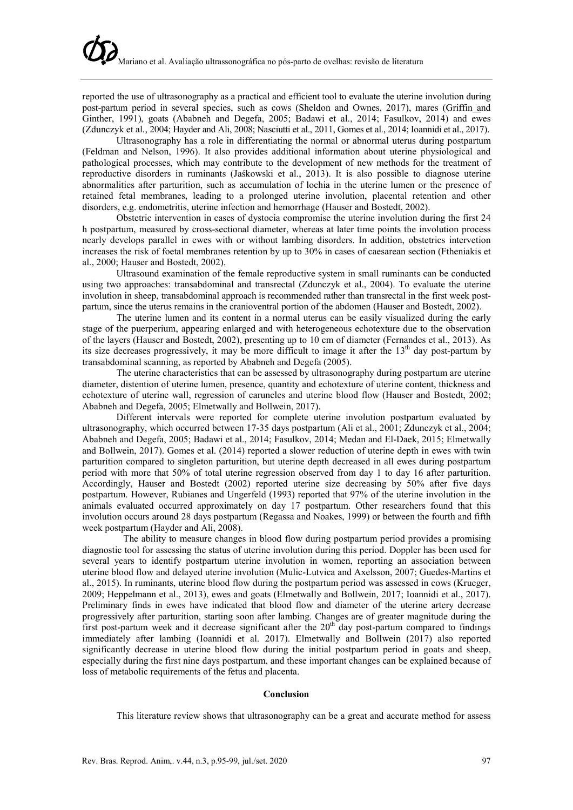reported the use of ultrasonography as a practical and efficient tool to evaluate the uterine involution during post-partum period in several species, such as cows (Sheldon and Ownes, 2017), mares (Griffin and Ginther, 1991), goats (Ababneh and Degefa, 2005; Badawi et al., 2014; Fasulkov, 2014) and ewes (Zdunczyk et al., 2004; Hayder and Ali, 2008; Nasciutti et al., 2011, Gomes et al., 2014; Ioannidi et al., 2017).

Ultrasonography has a role in differentiating the normal or abnormal uterus during postpartum (Feldman and Nelson, 1996). It also provides additional information about uterine physiological and pathological processes, which may contribute to the development of new methods for the treatment of reproductive disorders in ruminants (Jaśkowski et al., 2013). It is also possible to diagnose uterine abnormalities after parturition, such as accumulation of lochia in the uterine lumen or the presence of retained fetal membranes, leading to a prolonged uterine involution, placental retention and other disorders, e.g. endometritis, uterine infection and hemorrhage (Hauser and Bostedt, 2002).

Obstetric intervention in cases of dystocia compromise the uterine involution during the first 24 h postpartum, measured by cross-sectional diameter, whereas at later time points the involution process nearly develops parallel in ewes with or without lambing disorders. In addition, obstetrics intervetion increases the risk of foetal membranes retention by up to 30% in cases of caesarean section (Ftheniakis et al., 2000; Hauser and Bostedt, 2002).

Ultrasound examination of the female reproductive system in small ruminants can be conducted using two approaches: transabdominal and transrectal (Zdunczyk et al., 2004). To evaluate the uterine involution in sheep, transabdominal approach is recommended rather than transrectal in the first week postpartum, since the uterus remains in the cranioventral portion of the abdomen (Hauser and Bostedt, 2002).

The uterine lumen and its content in a normal uterus can be easily visualized during the early stage of the puerperium, appearing enlarged and with heterogeneous echotexture due to the observation of the layers (Hauser and Bostedt, 2002), presenting up to 10 cm of diameter (Fernandes et al., 2013). As its size decreases progressively, it may be more difficult to image it after the  $13<sup>th</sup>$  day post-partum by transabdominal scanning, as reported by Ababneh and Degefa (2005).

The uterine characteristics that can be assessed by ultrasonography during postpartum are uterine diameter, distention of uterine lumen, presence, quantity and echotexture of uterine content, thickness and echotexture of uterine wall, regression of caruncles and uterine blood flow (Hauser and Bostedt, 2002; Ababneh and Degefa, 2005; Elmetwally and Bollwein, 2017).

Different intervals were reported for complete uterine involution postpartum evaluated by ultrasonography, which occurred between 17-35 days postpartum (Ali et al., 2001; Zdunczyk et al., 2004; Ababneh and Degefa, 2005; Badawi et al., 2014; Fasulkov, 2014; Medan and El-Daek, 2015; Elmetwally and Bollwein, 2017). Gomes et al. (2014) reported a slower reduction of uterine depth in ewes with twin parturition compared to singleton parturition, but uterine depth decreased in all ewes during postpartum period with more that 50% of total uterine regression observed from day 1 to day 16 after parturition. Accordingly, Hauser and Bostedt (2002) reported uterine size decreasing by 50% after five days postpartum. However, Rubianes and Ungerfeld (1993) reported that 97% of the uterine involution in the animals evaluated occurred approximately on day 17 postpartum. Other researchers found that this involution occurs around 28 days postpartum (Regassa and Noakes, 1999) or between the fourth and fifth week postpartum (Hayder and Ali, 2008).

The ability to measure changes in blood flow during postpartum period provides a promising diagnostic tool for assessing the status of uterine involution during this period. Doppler has been used for several years to identify postpartum uterine involution in women, reporting an association between uterine blood flow and delayed uterine involution (Mulic-Lutvica and Axelsson, 2007; Guedes-Martins et al., 2015). In ruminants, uterine blood flow during the postpartum period was assessed in cows (Krueger, 2009; Heppelmann et al., 2013), ewes and goats (Elmetwally and Bollwein, 2017; Ioannidi et al., 2017). Preliminary finds in ewes have indicated that blood flow and diameter of the uterine artery decrease progressively after parturition, starting soon after lambing. Changes are of greater magnitude during the first post-partum week and it decrease significant after the  $20<sup>th</sup>$  day post-partum compared to findings immediately after lambing (Ioannidi et al. 2017). Elmetwally and Bollwein (2017) also reported significantly decrease in uterine blood flow during the initial postpartum period in goats and sheep, especially during the first nine days postpartum, and these important changes can be explained because of loss of metabolic requirements of the fetus and placenta.

## Conclusion

This literature review shows that ultrasonography can be a great and accurate method for assess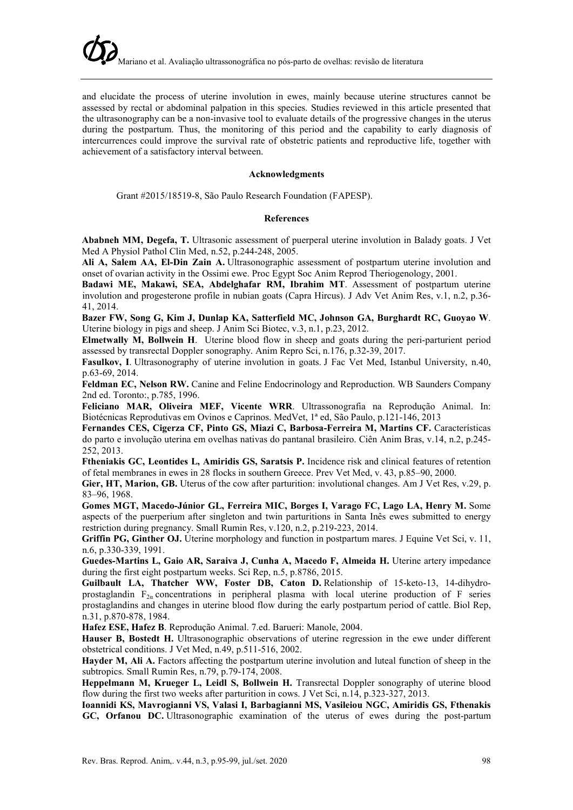and elucidate the process of uterine involution in ewes, mainly because uterine structures cannot be assessed by rectal or abdominal palpation in this species. Studies reviewed in this article presented that the ultrasonography can be a non-invasive tool to evaluate details of the progressive changes in the uterus during the postpartum. Thus, the monitoring of this period and the capability to early diagnosis of intercurrences could improve the survival rate of obstetric patients and reproductive life, together with achievement of a satisfactory interval between.

# Acknowledgments

Grant #2015/18519-8, São Paulo Research Foundation (FAPESP).

## References

Ababneh MM, Degefa, T. Ultrasonic assessment of puerperal uterine involution in Balady goats. J Vet Med A Physiol Pathol Clin Med, n.52, p.244-248, 2005.

Ali A, Salem AA, El-Din Zain A. Ultrasonographic assessment of postpartum uterine involution and onset of ovarian activity in the Ossimi ewe. Proc Egypt Soc Anim Reprod Theriogenology, 2001.

Badawi ME, Makawi, SEA, Abdelghafar RM, Ibrahim MT. Assessment of postpartum uterine involution and progesterone profile in nubian goats (Capra Hircus). J Adv Vet Anim Res, v.1, n.2, p.36- 41, 2014.

Bazer FW, Song G, Kim J, Dunlap KA, Satterfield MC, Johnson GA, Burghardt RC, Guoyao W. Uterine biology in pigs and sheep. J Anim Sci Biotec, v.3, n.1, p.23, 2012.

Elmetwally M, Bollwein H. Uterine blood flow in sheep and goats during the peri-parturient period assessed by transrectal Doppler sonography. Anim Repro Sci, n.176, p.32-39, 2017.

Fasulkov, I. Ultrasonography of uterine involution in goats. J Fac Vet Med, Istanbul University, n.40, p.63-69, 2014.

Feldman EC, Nelson RW. Canine and Feline Endocrinology and Reproduction. WB Saunders Company 2nd ed. Toronto:, p.785, 1996.

Feliciano MAR, Oliveira MEF, Vicente WRR. Ultrassonografia na Reprodução Animal. In: Biotécnicas Reprodutivas em Ovinos e Caprinos. MedVet, 1ª ed, São Paulo, p.121-146, 2013

Fernandes CES, Cigerza CF, Pinto GS, Miazi C, Barbosa-Ferreira M, Martins CF. Características do parto e involução uterina em ovelhas nativas do pantanal brasileiro. Ciên Anim Bras, v.14, n.2, p.245- 252, 2013.

Ftheniakis GC, Leontides L, Amiridis GS, Saratsis P. Incidence risk and clinical features of retention of fetal membranes in ewes in 28 flocks in southern Greece. Prev Vet Med, v. 43, p.85–90, 2000.

Gier, HT, Marion, GB. Uterus of the cow after parturition: involutional changes. Am J Vet Res, v.29, p. 83–96, 1968.

Gomes MGT, Macedo-Júnior GL, Ferreira MIC, Borges I, Varago FC, Lago LA, Henry M. Some aspects of the puerperium after singleton and twin parturitions in Santa Inês ewes submitted to energy restriction during pregnancy. Small Rumin Res, v.120, n.2, p.219-223, 2014.

Griffin PG, Ginther OJ. Uterine morphology and function in postpartum mares. J Equine Vet Sci, v. 11, n.6, p.330-339, 1991.

Guedes-Martins L, Gaio AR, Saraiva J, Cunha A, Macedo F, Almeida H. Uterine artery impedance during the first eight postpartum weeks. Sci Rep, n.5, p.8786, 2015.

Guilbault LA, Thatcher WW, Foster DB, Caton D. Relationship of 15-keto-13, 14-dihydroprostaglandin  $F_{2\alpha}$  concentrations in peripheral plasma with local uterine production of F series prostaglandins and changes in uterine blood flow during the early postpartum period of cattle. Biol Rep, n.31, p.870-878, 1984.

Hafez ESE, Hafez B. Reprodução Animal. 7.ed. Barueri: Manole, 2004.

Hauser B, Bostedt H. Ultrasonographic observations of uterine regression in the ewe under different obstetrical conditions. J Vet Med, n.49, p.511-516, 2002.

Hayder M, Ali A. Factors affecting the postpartum uterine involution and luteal function of sheep in the subtropics. Small Rumin Res, n.79, p.79-174, 2008.

Heppelmann M, Krueger L, Leidl S, Bollwein H. Transrectal Doppler sonography of uterine blood flow during the first two weeks after parturition in cows. J Vet Sci, n.14, p.323-327, 2013.

Ioannidi KS, Mavrogianni VS, Valasi I, Barbagianni MS, Vasileiou NGC, Amiridis GS, Fthenakis GC, Orfanou DC. Ultrasonographic examination of the uterus of ewes during the post-partum